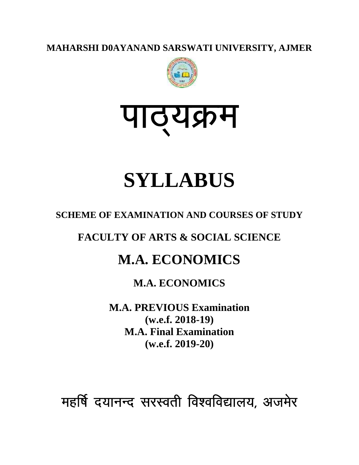**MAHARSHI D0AYANAND SARSWATI UNIVERSITY, AJMER**



# <u>पाठ्यक्रम</u>

# **SYLLABUS**

## **SCHEME OF EXAMINATION AND COURSES OF STUDY**

**FACULTY OF ARTS & SOCIAL SCIENCE**

# **M.A. ECONOMICS**

## **M.A. ECONOMICS**

**M.A. PREVIOUS Examination (w.e.f. 2018-19) M.A. Final Examination (w.e.f. 2019-20)**

महर्षि दयानन्द सरस्वती विश्वविद्यालय, अजमेर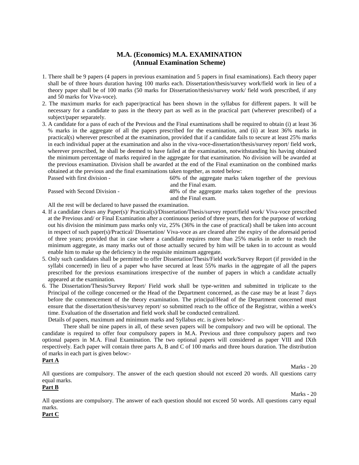## **M.A. (Economics) M.A. EXAMINATION (Annual Examination Scheme)**

- 1. There shall be 9 papers (4 papers in previous examination and 5 papers in final examinations). Each theory paper shall be of three hours duration having 100 marks each. Dissertation/thesis/survey work/field work in lieu of a theory paper shall be of 100 marks (50 marks for Dissertation/thesis/survey work/ field work prescribed, if any and 50 marks for Viva-voce).
- 2. The maximum marks for each paper/practical has been shown in the syllabus for different papers. It will be necessary for a candidate to pass in the theory part as well as in the practical part (wherever prescribed) of a subject/paper separately.

3. A candidate for a pass of each of the Previous and the Final examinations shall be required to obtain (i) at least 36 % marks in the aggregate of all the papers prescribed for the examination, and (ii) at least 36% marks in practical(s) wherever prescribed at the examination, provided that if a candidate fails to secure at least 25% marks in each individual paper at the examination and also in the viva-voce-dissertation/thesis/survey report/ field work, wherever prescribed, he shall be deemed to have failed at the examination, notwithstanding his having obtained the minimum percentage of marks required in the aggregate for that examination. No division will be awarded at the previous examination. Division shall be awarded at the end of the Final examination on the combined marks obtained at the previous and the final examinations taken together, as noted below:

 $60\%$  of the aggregate marks taken together of the previous and the Final exam.

Passed with Second Division - 48% of the aggregate marks taken together of the previous and the Final exam.

All the rest will be declared to have passed the examination.

- 4. If a candidate clears any Paper(s)/ Practical(s)/Dissertation/Thesis/survey report/field work/ Viva-voce prescribed at the Previous and/ or Final Examination after a continuous period of three years, then for the purpose of working out his division the minimum pass marks only viz, 25% (36% in the case of practical) shall be taken into account in respect of such paper(s)/Practical/ Dissertation/ Viva-voce as are cleared after the expiry of the aforesaid period of three years; provided that in case where a candidate requires more than 25% marks in order to reach the minimum aggregate, as many marks out of those actually secured by him will be taken in to account as would enable him to make up the deficiency in the requisite minimum aggregate.
- 5. Only such candidates shall be permitted to offer Dissertation/Thesis/Field work/Survey Report (if provided in the syllabi concerned) in lieu of a paper who have secured at least 55% marks in the aggregate of all the papers prescribed for the previous examinations irrespective of the number of papers in which a candidate actually appeared at the examination.
- 6. The Dissertation/Thesis/Survey Report/ Field work shall be type-written and submitted in triplicate to the Principal of the college concerned or the Head of the Department concerned, as the case may be at least 7 days before the commencement of the theory examination. The principal/Head of the Department concerned must ensure that the dissertation/thesis/survey report/ so submitted reach to the office of the Registrar, within a week's time. Evaluation of the dissertation and field work shall be conducted centralized.

Details of papers, maximum and minimum marks and Syllabus etc. is given below:-

There shall be nine papers in all, of these seven papers will be compulsory and two will be optional. The candidate is required to offer four compulsory papers in M.A. Previous and three compulsory papers and two optional papers in M.A. Final Examination. The two optional papers will considered as paper VIII and IXth respectively. Each paper will contain three parts A, B and C of 100 marks and three hours duration. The distribution of marks in each part is given below:-

#### **Part A**

Marks - 20

All questions are compulsory. The answer of the each question should not exceed 20 words. All questions carry equal marks.

## **Part B**

Marks - 20

All questions are compulsory. The answer of each question should not exceed 50 words. All questions carry equal marks.

#### **Part C**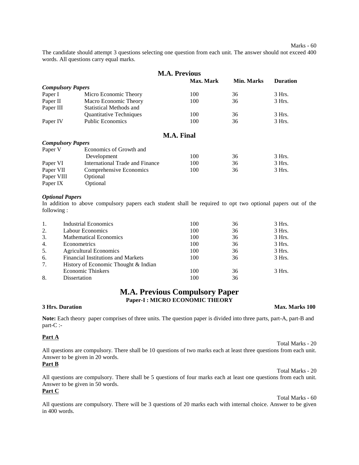The candidate should attempt 3 questions selecting one question from each unit. The answer should not exceed 400 words. All questions carry equal marks.

| <b>M.A. Previous</b>     |                                 |                   |                   |                 |  |  |  |
|--------------------------|---------------------------------|-------------------|-------------------|-----------------|--|--|--|
|                          |                                 | Max. Mark         | <b>Min. Marks</b> | <b>Duration</b> |  |  |  |
| <b>Compulsory Papers</b> |                                 |                   |                   |                 |  |  |  |
| Paper I                  | Micro Economic Theory           | 100               | 36                | 3 Hrs.          |  |  |  |
| Paper II                 | Macro Economic Theory           | 100               | 36                | $3$ Hrs.        |  |  |  |
| Paper III                | <b>Statistical Methods and</b>  |                   |                   |                 |  |  |  |
|                          | <b>Quantitative Techniques</b>  | 100               | 36                | 3 Hrs.          |  |  |  |
| Paper IV                 | <b>Public Economics</b>         | 100               | 36                | 3 Hrs.          |  |  |  |
|                          |                                 | <b>M.A. Final</b> |                   |                 |  |  |  |
| <b>Compulsory Papers</b> |                                 |                   |                   |                 |  |  |  |
| Paper V                  | Economics of Growth and         |                   |                   |                 |  |  |  |
|                          | Development                     | 100               | 36                | $3$ Hrs.        |  |  |  |
| Paper VI                 | International Trade and Finance | 100               | 36                | $3$ Hrs.        |  |  |  |
| Paper VII                | Comprehensive Economics         | 100               | 36                | $3$ Hrs.        |  |  |  |
| Paper VIII               | Optional                        |                   |                   |                 |  |  |  |
| Paper IX                 | Optional                        |                   |                   |                 |  |  |  |

#### *Optional Papers*

In addition to above compulsory papers each student shall be required to opt two optional papers out of the following :

| 1.               | Industrial Economics                      | 100 | 36 | $3$ Hrs. |
|------------------|-------------------------------------------|-----|----|----------|
| 2.               | Labour Economics                          | 100 | 36 | $3$ Hrs. |
| 3.               | <b>Mathematical Economics</b>             | 100 | 36 | 3 Hrs.   |
| $\overline{4}$ . | Econometrics                              | 100 | 36 | 3 Hrs.   |
| 5.               | <b>Agricultural Economics</b>             | 100 | 36 | 3 Hrs.   |
| 6.               | <b>Financial Institutions and Markets</b> | 100 | 36 | $3$ Hrs. |
| 7.               | History of Economic Thought & Indian      |     |    |          |
|                  | <b>Economic Thinkers</b>                  | 100 | 36 | $3$ Hrs. |
| 8.               | Dissertation                              | 100 | 36 |          |

## **M.A. Previous Compulsory Paper Paper-I : MICRO ECONOMIC THEORY**

**3 Hrs. Duration Max. Marks 100**

Total Marks - 20

Total Marks - 20

**Note:** Each theory paper comprises of three units. The question paper is divided into three parts, part-A, part-B and part-C :-

#### **Part A**

All questions are compulsory. There shall be 10 questions of two marks each at least three questions from each unit. Answer to be given in 20 words.

#### **Part B**

All questions are compulsory. There shall be 5 questions of four marks each at least one questions from each unit. Answer to be given in 50 words.

#### **Part C**

Total Marks - 60 All questions are compulsory. There will be 3 questions of 20 marks each with internal choice. Answer to be given in 400 words.

Marks - 60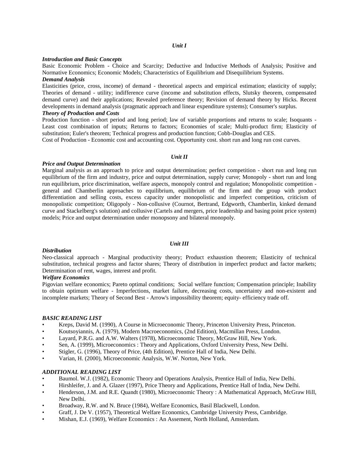#### *Introduction and Basic Concepts*

Basic Economic Problem - Choice and Scarcity; Deductive and Inductive Methods of Analysis; Positive and Normative Economics; Economic Models; Characteristics of Equilibrium and Disequilibrium Systems.

#### *Demand Analysis*

Elasticities (price, cross, income) of demand - theoretical aspects and empirical estimation; elasticity of supply; Theories of demand - utility; indifference curve (income and substitution effects, Slutsky theorem, compensated demand curve) and their applications; Revealed preference theory; Revision of demand theory by Hicks. Recent developments in demand analysis (pragmatic approach and linear expenditure systems); Consumer's surplus.

#### *Theory of Production and Costs*

Production function - short period and long period; law of variable proportions and returns to scale; Isoquants - Least cost combination of inputs; Returns to factors; Economies of scale; Multi-product firm; Elasticity of substitution; Euler's theorem; Technical progress and production function; Cobb-Douglas and CES.

Cost of Production - Economic cost and accounting cost. Opportunity cost. short run and long run cost curves.

#### *Unit II*

#### *Price and Output Determination*

Marginal analysis as an approach to price and output determination; perfect competition - short run and long run equilibrium of the firm and industry, price and output determination, supply curve; Monopoly - short run and long run equilibrium, price discrimination, welfare aspects, monopoly control and regulation; Monopolistic competition general and Chamberlin approaches to equilibrium, equilibrium of the firm and the group with product differentiation and selling costs, excess capacity under monopolistic and imperfect competition, criticism of monopolistic competition; Oligopoly - Non-collusive (Cournot, Bertrand, Edgworth, Chamberlin, kinked demand curve and Stackelberg's solution) and collusive (Cartels and mergers, price leadership and basing point price system) models; Price and output determination under monopsony and bilateral monopoly.

#### *Unit III*

#### *Distribution*

Neo-classical approach - Marginal productivity theory; Product exhaustion theorem; Elasticity of technical substitution, technical progress and factor shares; Theory of distribution in imperfect product and factor markets; Determination of rent, wages, interest and profit.

#### *Welfare Economics*

Pigovian welfare economics; Pareto optimal conditions; Social welfare function; Compensation principle; Inability to obtain optimum welfare -Imperfections, market failure, decreasing costs, uncertainty and non-existent and incomplete markets; Theory of Second Best - Arrow's impossibility theorem; equity- efficiency trade off.

#### *BASIC READING LIST*

- Kreps, David M. (1990), A Course in Microeconomic Theory, Princeton University Press, Princeton.
- Koutsoyiannis, A. (1979), Modern Macroeconomics, (2nd Edition), Macmillan Press, London.
- Layard, P.R.G. and A.W. Walters (1978), Microeconomic Theory, McGraw Hill, New York.
- Sen, A. (1999), Microeconomics : Theory and Applications, Oxford University Press, New Delhi.
- Stigler, G. (1996), Theory of Price, (4th Edition), Prentice Hall of India, New Delhi.
- Varian, H. (2000), Microeconomic Analysis, W.W. Norton, New York.

#### *ADDITIONAL READING LIST*

- Baumol. W.J. (1982), Economic Theory and Operations Analysis, Prentice Hall of India, New Delhi.
- Hirshleifer, J. and A. Glazer (1997), Price Theory and Applications, Prentice Hall of India, New Delhi.
- Henderson, J.M. and R.E. Quandt (1980), Microeconomic Theory : A Mathematical Approach, McGraw Hill, New Delhi.
- Broadway, R.W. and N. Bruce (1984), Welfare Economics, Basil Blackwell, London.
- Graff, J. De V. (1957), Theoretical Welfare Economics, Cambridge University Press, Cambridge.
- Mishan, E.J. (1969), Welfare Economics : An Assement, North Holland, Amsterdam.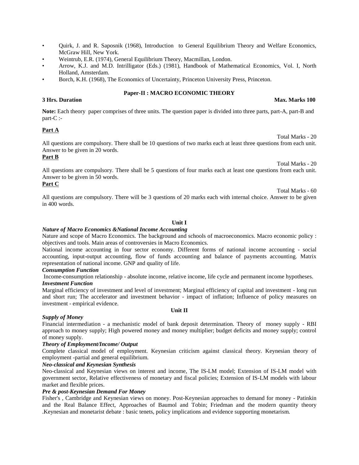- Quirk, J. and R. Saposnik (1968), Introduction to General Equilibrium Theory and Welfare Economics, McGraw Hill, New York.
- Weintrub, E.R. (1974), General Equilibrium Theory, Macmillan, London.
- Arrow, K.J. and M.D. Intrilligator (Eds.) (1981), Handbook of Mathematical Economics, Vol. I, North Holland, Amsterdam.
- Borch, K.H. (1968), The Economics of Uncertainty, Princeton University Press, Princeton.

#### **Paper-II : MACRO ECONOMIC THEORY**

**Note:** Each theory paper comprises of three units. The question paper is divided into three parts, part-A, part-B and part-C :-

#### **Part A**

All questions are compulsory. There shall be 10 questions of two marks each at least three questions from each unit. Answer to be given in 20 words.

#### **Part B**

Total Marks - 20 All questions are compulsory. There shall be 5 questions of four marks each at least one questions from each unit. Answer to be given in 50 words.

### **Part C**

All questions are compulsory. There will be 3 questions of 20 marks each with internal choice. Answer to be given in 400 words.

#### **Unit I**

#### *Nature of Macro Economics &National Income Accounting*

Nature and scope of Macro Economics. The background and schools of macroeconomics. Macro economic policy : objectives and tools. Main areas of controversies in Macro Economics.

National income accounting in four sector economy. Different forms of national income accounting - social accounting, input-output accounting, flow of funds accounting and balance of payments accounting. Matrix representation of national income. GNP and quality of life.

#### *Consumption Function*

Income-consumption relationship - absolute income, relative income, life cycle and permanent income hypotheses. *Investment Function*

Marginal efficiency of investment and level of investment; Marginal efficiency of capital and investment - long run and short run; The accelerator and investment behavior - impact of inflation; Influence of policy measures on investment - empirical evidence.

#### *Supply of Money*

Financial intermediation - a mechanistic model of bank deposit determination. Theory of money supply - RBI approach to money supply; High powered money and money multiplier; budget deficits and money supply; control of money supply.

#### *Theory of Employment/Income/ Output*

Complete classical model of employment. Keynesian criticism against classical theory. Keynesian theory of employment -partial and general equilibrium.

#### *Neo-classical and Keynesian Synthesis*

Neo-classical and Keynesian views on interest and income, The IS-LM model; Extension of IS-LM model with government sector, Relative effectiveness of monetary and fiscal policies; Extension of IS-LM models with labour market and flexible prices.

#### *Pre & post-Keynesian Demand For Money*

Fisher's , Cambridge and Keynesian views on money. Post-Keynesian approaches to demand for money - Patinkin and the Real Balance Effect, Approaches of Baumol and Tobin; Friedman and the modern quantity theory .Keynesian and monetarist debate : basic tenets, policy implications and evidence supporting monetarism.

#### **3 Hrs. Duration Max. Marks 100**

#### Total Marks - 60

Total Marks - 20

## **Unit II**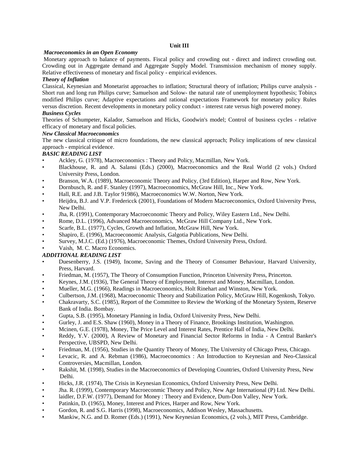#### **Unit III**

#### *Macroeconomics in an Open Economy*

Monetary approach to balance of payments. Fiscal policy and crowding out - direct and indirect crowding out. Crowding out in Aggregate demand and Aggregate Supply Model. Transmission mechanism of money supply. Relative effectiveness of monetary and fiscal policy - empirical evidences.

#### *Theory of Inflation*

Classical, Keynesian and Monetarist approaches to inflation; Structural theory of inflation; Philips curve analysis - Short run and long run Philips curve; Samuelson and Solow- the natural rate of unemployment hypothesis; Tobin;s modified Philips curve; Adaptive expectations and rational expectations Framework for monetary policy Rules versus discretion. Recent developments in monetary policy conduct - interest rate versus high powered money.

#### *Business Cycles*

Theories of Schumpeter, Kalador, Samuelson and Hicks, Goodwin's model; Control of business cycles - relative efficacy of monetary and fiscal policies.

#### *New Classical Macroeconomics*

The new classical critique of micro foundations, the new classical approach; Policy implications of new classical approach - empirical evidence.

#### *BASIC READING LIST*

- Ackley, G. (1978), Macroeconomics : Theory and Policy, Macmillan, New York.
- Blackhouse, R. and A. Salansi (Eds.) (2000), Macroeconomics and the Real World (2 vols.) Oxford University Press, London.
- Branson, W.A. (1989), Macroeconomic Theory and Policy, (3rd Edition), Harper and Row, New York.
- Dornbusch, R. and F. Stanley (1997), Macroeconomics, McGraw Hill, Inc., New York.
- Hall, R.E. and J.B. Taylor 91986), Macroeconomics W.W. Norton, New York.
- Heijdra, B.J. and V.P. Fredericck (2001), Foundations of Modern Macroeconomics, Oxford University Press, New Delhi.
- Jha, R. (1991), Contemporary Macroeconomic Theory and Policy, Wiley Eastern Ltd., New Delhi.
- Rome, D.L. (1996), Advanced Macroeconomics, McGraw Hill Company Ltd., New York.
- Scarfe, B.L. (1977), Cycles, Growth and Inflation, McGraw Hill, New York.
- Shapiro, E. (1996), Macroeconomic Analysis, Galgotia Publications, New Delhi.
- Survey, M.J.C. (Ed.) (1976), Macroeconomic Themes, Oxford University Press, Oxford.
- Vaish, M. C. Macro Economics.

#### *ADDITIONAL READING LIST*

- Duesenberry, J.S. (1949), Income, Saving and the Theory of Consumer Behaviour, Harvard University, Press, Harvard.
- Friedman, M. (1957), The Theory of Consumption Function, Princeton University Press, Princeton.
- Keynes, J.M. (1936), The General Theory of Employment, Interest and Money, Macmillan, London.
- Mueller, M.G. (1966), Readings in Macroeconomics, Holt Rinehart and Winston, New York.
- Culbertson, J.M. (1968), Macroeconomic Theory and Stabilization Policy, McGraw Hill, Kogenkosh, Tokyo.
- Chakravarty, S.C. (1985), Report of the Committee to Review the Working of the Monetary System, Reserve Bank of India. Bombay.
- Gupta, S.B. (1995), Monetary Planning in India, Oxford University Press, New Delhi.
- Gurley, J. and E.S. Shaw (1960), Money in a Theory of Finance, Brookings Institution, Washington.
- Mcinen, G.E. (1978), Money, The Price Level and Interest Rates, Prentice Hall of India, New Delhi.
- Reddy, Y.V. (2000), A Review of Monetary and Financial Sector Reforms in India A Central Banker's Perspective, UBSPD, New Delhi.
- Friedman, M. (1956), Studies in the Quantity Theory of Money, The University of Chicago Press, Chicago.
- Levacic, R. and A. Rebman (1986), Macroeconomics : An Introduction to Keynesian and Neo-Classical Controversies, Macmillan, London.
- Rakshit, M. (1998), Studies in the Macroeconomics of Developing Countries, Oxford University Press, New Delhi.
- Hicks, J.R. (1974), The Crisis in Keynesian Economics, Oxford University Press, New Delhi.
- Jha. R. (1999), Contemporary Macroeconmic Theory and Policy, New Age International (P) Ltd. New Delhi.
- laidler, D.F.W. (1977), Demand for Money : Theory and Evidence, Dum-Don Valley, New York.
- Patinkin, D. (1965), Money, Interest and Prices, Harper and Row, New York.
- Gordon, R. and S.G. Harris (1998), Macroeconomics, Addison Wesley, Massachusetts.
- Mankiw, N.G. and D. Romer (Eds.) (1991), New Keynesian Economics, (2 vols.), MIT Press, Cambridge.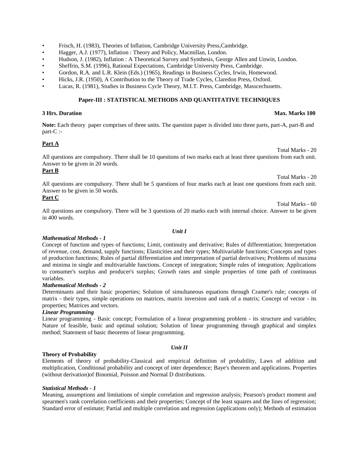- Frisch, H. (1983), Theories of Inflation, Cambridge University Press,Cambridge.
- Hagger, A.J. (1977), Inflation : Theory and Policy, Macmillan, London.
- Hudson, J. (1982), Inflation : A Theoretical Survey and Synthesis, George Allen and Unwin, London.
- Sheffrin, S.M. (1996), Rational Expectations, Cambridge University Press, Cambridge.
- Gordon, R.A. and L.R. Klein (Eds.) (1965), Readings in Business Cycles, Irwin, Homewood.
- Hicks, J.R. (1950), A Contribution to the Theory of Trade Cycles, Claredon Press, Oxford.
- Lucas, R. (1981), Studies in Business Cycle Theory, M.I.T. Press, Cambridge, Masscechusetts.

#### **Paper-III : STATISTICAL METHODS AND QUANTITATIVE TECHNIQUES**

#### **3 Hrs. Duration Max. Marks 100**

**Note:** Each theory paper comprises of three units. The question paper is divided into three parts, part-A, part-B and part-C :-

#### **Part A**

All questions are compulsory. There shall be 10 questions of two marks each at least three questions from each unit. Answer to be given in 20 words.

#### **Part B**

Total Marks - 20

Total Marks - 20

All questions are compulsory. There shall be 5 questions of four marks each at least one questions from each unit. Answer to be given in 50 words.

### **Part C**

Total Marks - 60 All questions are compulsory. There will be 3 questions of 20 marks each with internal choice. Answer to be given in 400 words.

#### *Mathematical Methods - 1*

Concept of function and types of functions; Limit, continuity and derivative; Rules of differentiation; Interpretation of revenue, cost, demand, supply functions; Elasticities and their types; Multivariable functions; Concepts and types of production functions; Rules of partial differentiation and interpretation of partial derivatives; Problems of maxima and minima in single and multivariable functions. Concept of integration; Simple rules of integration; Applications to consumer's surplus and producer's surplus; Growth rates and simple properties of time path of continuous variables.

#### *Mathematical Methods - 2*

Determinants and their basic properties; Solution of simultaneous equations through Cramer's rule; concepts of matrix - their types, simple operations on matrices, matrix inversion and rank of a matrix; Concept of vector - its properties; Matrices and vectors.

#### *Linear Programming*

Linear programming - Basic concept; Formulation of a linear programming problem - its structure and variables; Nature of feasible, basic and optimal solution; Solution of linear programming through graphical and simplex method; Statement of basic theorems of linear programming.

*Unit II*

#### **Theory of Probability**

Elements of theory of probability-Classical and empirical definition of probability, Laws of addition and multiplication, Conditional probability and concept of inter dependence; Baye's theorem and applications. Properties (without derivation)of Binomial, Poisson and Normal D distributions.

#### *Statistical Methods - 1*

Meaning, assumptions and limitations of simple correlation and regression analysis; Pearson's product moment and spearmen's rank correlation coefficients and their properties; Concept of the least squares and the lines of regression; Standard error of estimate; Partial and multiple correlation and regression (applications only); Methods of estimation

#### *Unit I*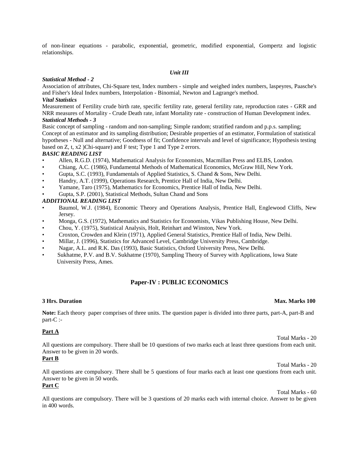of non-linear equations - parabolic, exponential, geometric, modified exponential, Gompertz and logistic relationships.

#### *Unit III*

#### *Statistical Method - 2*

Association of attributes, Chi-Square test, Index numbers - simple and weighed index numbers, laspeyres, Paasche's and Fisher's Ideal Index numbers, Interpolation - Binomial, Newton and Lagrange's method.

#### *Vital Statistics*

Measurement of Fertility crude birth rate, specific fertility rate, general fertility rate, reproduction rates - GRR and NRR measures of Mortality - Crude Death rate, infant Mortality rate - construction of Human Development index.

#### *Statistical Methods - 3*

Basic concept of sampling - random and non-sampling; Simple random; stratified random and p.p.s. sampling; Concept of an estimator and its sampling distribution; Desirable properties of an estimator, Formulation of statistical hypotheses - Null and alternative; Goodness of fit; Confidence intervals and level of significance; Hypothesis testing based on Z, t, x2 )Chi-square) and F test; Type 1 and Type 2 errors.

#### *BASIC READING LIST*

- Allen, R.G.D. (1974), Mathematical Analysis for Economists, Macmillan Press and ELBS, London.
- Chiang, A.C. (1986), Fundamental Methods of Mathematical Economics, McGraw Hill, New York.
- Gupta, S.C. (1993), Fundamentals of Applied Statistics, S. Chand & Sons, New Delhi.
- Handry, A.T. (1999), Operations Research, Prentice Hall of India, New Delhi.
- Yamane, Taro (1975), Mathematics for Economics, Prentice Hall of India, New Delhi.
- Gupta, S.P. (2001), Statistical Methods, Sultan Chand and Sons

#### *ADDITIONAL READING LIST*

- Baumol, W.J. (1984), Economic Theory and Operations Analysis, Prentice Hall, Englewood Cliffs, New Jersey.
- Monga, G.S. (1972), Mathematics and Statistics for Economists, Vikas Publishing House, New Delhi.
- Chou, Y. (1975), Statistical Analysis, Holt, Reinhart and Winston, New York.
- Croxton, Crowden and Klein (1971), Applied General Statistics, Prentice Hall of India, New Delhi.
- Millar, J. (1996), Statistics for Advanced Level, Cambridge University Press, Cambridge.
- Nagar, A.L. and R.K. Das (1993), Basic Statistics, Oxford University Press, New Delhi.
- Sukhatme, P.V. and B.V. Sukhatme (1970), Sampling Theory of Survey with Applications, lowa State University Press, Ames.

#### **Paper-IV : PUBLIC ECONOMICS**

**Note:** Each theory paper comprises of three units. The question paper is divided into three parts, part-A, part-B and part-C :-

#### **Part A**

All questions are compulsory. There shall be 10 questions of two marks each at least three questions from each unit. Answer to be given in 20 words.

#### **Part B**

All questions are compulsory. There shall be 5 questions of four marks each at least one questions from each unit. Answer to be given in 50 words.

#### **Part C**

Total Marks - 60

All questions are compulsory. There will be 3 questions of 20 marks each with internal choice. Answer to be given in 400 words.

#### **3 Hrs. Duration Max. Marks 100**

Total Marks - 20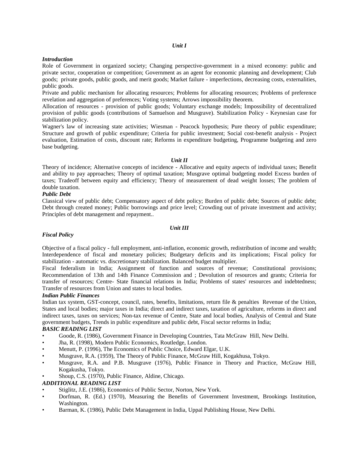#### *Unit I*

#### *Introduction*

Role of Government in organized society; Changing perspective-government in a mixed economy: public and private sector, cooperation or competition; Government as an agent for economic planning and development; Club goods; private goods, public goods, and merit goods; Market failure - imperfections, decreasing costs, externalities, public goods.

Private and public mechanism for allocating resources; Problems for allocating resources; Problems of preference revelation and aggregation of preferences; Voting systems; Arrows impossibility theorem.

Allocation of resources - provision of public goods; Voluntary exchange models; Impossibility of decentralized provision of public goods (contributions of Samuelson and Musgrave). Stabilization Policy - Keynesian case for stabilization policy.

Wagner's law of increasing state activities; Wiesman - Peacock hypothesis; Pure theory of public expenditure; Structure and growth of public expenditure; Criteria for public investment; Social cost-benefit analysis - Project evaluation, Estimation of costs, discount rate; Reforms in expenditure budgeting, Programme budgeting and zero base budgeting.

#### *Unit II*

Theory of incidence; Alternative concepts of incidence - Allocative and equity aspects of individual taxes; Benefit and ability to pay approaches; Theory of optimal taxation; Musgrave optimal budgeting model Excess burden of taxes; Tradeoff between equity and efficiency; Theory of measurement of dead weight losses; The problem of double taxation.

#### *Public Debt*

Classical view of public debt; Compensatory aspect of debt policy; Burden of public debt; Sources of public debt; Debt through created money; Public borrowings and price level; Crowding out of private investment and activity; Principles of debt management and repayment..

#### *Unit III*

#### *Fiscal Policy*

Objective of a fiscal policy - full employment, anti-inflation, economic growth, redistribution of income and wealth; Interdependence of fiscal and monetary policies; Budgetary deficits and its implications; Fiscal policy for stabilization - automatic vs. discretionary stabilization. Balanced budget multiplier.

Fiscal federalism in India; Assignment of function and sources of revenue; Constitutional provisions; Recommendation of 13th and 14th Finance Commission and ; Devolution of resources and grants; Criteria for transfer of resources; Centre- State financial relations in India; Problems of states' resources and indebtedness; Transfer of resources from Union and states to local bodies.

#### *Indian Public Finances*

Indian tax system, GST-concept, council, rates, benefits, limitations, return file & penalties Revenue of the Union, States and local bodies; major taxes in India; direct and indirect taxes, taxation of agriculture, reforms in direct and indirect taxes, taxes on services; Non-tax revenue of Centre, State and local bodies, Analysis of Central and State government budgets, Trends in public expenditure and public debt, Fiscal sector reforms in India;

#### *BASIC READING LIST*

- Goode, R. (1986), Government Finance in Developing Countries, Tata McGraw Hill, New Delhi.
- Jha, R. (1998), Modern Public Economics, Routledge, London.
- Menutt, P. (1996), The Economics of Public Choice, Edward Elgar, U.K.
- Musgrave, R.A. (1959), The Theory of Public Finance, McGraw Hill, Kogakhusa, Tokyo.
- Musgrave, R.A. and P.B. Musgrave (1976), Public Finance in Theory and Practice, McGraw Hill, Kogakusha, Tokyo.
- Shoup, C.S. (1970), Public Finance, Aldine, Chicago.

#### *ADDITIONAL READING LIST*

- Stiglitz, J.E. (1986), Economics of Public Sector, Norton, New York.
- Dorfman, R. (Ed.) (1970), Measuring the Benefits of Government Investment, Brookings Institution, Washington.
- Barman, K. (1986), Public Debt Management in India, Uppal Publishing House, New Delhi.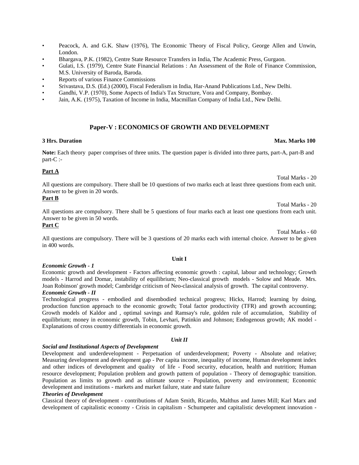- Peacock, A. and G.K. Shaw (1976), The Economic Theory of Fiscal Policy, George Allen and Unwin, London.
- Bhargava, P.K. (1982), Centre State Resource Transfers in India, The Academic Press, Gurgaon.
- Gulati, I.S. (1979), Centre State Financial Relations : An Assessment of the Role of Finance Commission, M.S. University of Baroda, Baroda.
- Reports of various Finance Commissions
- Srivastava, D.S. (Ed.) (2000), Fiscal Federalism in India, Har-Anand Publications Ltd., New Delhi.
- Gandhi, V.P. (1970), Some Aspects of India's Tax Structure, Vora and Company, Bombay.
- Jain, A.K. (1975), Taxation of Income in India, Macmillan Company of India Ltd., New Delhi.

#### **Paper-V : ECONOMICS OF GROWTH AND DEVELOPMENT**

#### **3 Hrs. Duration Max. Marks 100**

**Note:** Each theory paper comprises of three units. The question paper is divided into three parts, part-A, part-B and part-C :-

#### **Part A**

Total Marks - 20

Total Marks - 20

Total Marks - 60

All questions are compulsory. There shall be 10 questions of two marks each at least three questions from each unit. Answer to be given in 20 words.

#### **Part B**

All questions are compulsory. There shall be 5 questions of four marks each at least one questions from each unit. Answer to be given in 50 words.

#### **Part C**

All questions are compulsory. There will be 3 questions of 20 marks each with internal choice. Answer to be given in 400 words.

#### *Economic Growth - 1*

Economic growth and development - Factors affecting economic growth : capital, labour and technology; Growth models - Harrod and Domar, instability of equilibrium; Neo-classical growth models - Solow and Meade. Mrs. Joan Robinson' growth model; Cambridge criticism of Neo-classical analysis of growth. The capital controversy.

#### *Economic Growth - II*

Technological progress - embodied and disembodied technical progress; Hicks, Harrod; learning by doing, production function approach to the economic growth; Total factor productivity (TFR) and growth accounting; Growth models of Kaldor and , optimal savings and Ramsay's rule, golden rule of accumulation, Stability of equilibrium; money in economic growth, Tobin, Levhari, Patinkin and Johnson; Endogenous growth; AK model - Explanations of cross country differentials in economic growth.

#### *Unit II*

#### *Social and Institutional Aspects of Development*

Development and underdevelopment - Perpetuation of underdevelopment; Poverty - Absolute and relative; Measuring development and development gap - Per capita income, inequality of income, Human development index and other indices of development and quality of life - Food security, education, health and nutrition; Human resource development; Population problem and growth pattern of population - Theory of demographic transition. Population as limits to growth and as ultimate source - Population, poverty and environment; Economic development and institutions - markets and market failure, state and state failure

#### *Theories of Development*

Classical theory of development - contributions of Adam Smith, Ricardo, Malthus and James Mill; Karl Marx and development of capitalistic economy - Crisis in capitalism - Schumpeter and capitalistic development innovation -

#### **Unit I**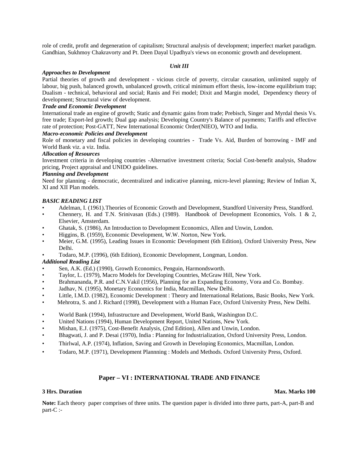role of credit, profit and degeneration of capitalism; Structural analysis of development; imperfect market paradigm. Gandhian, Sukhmoy Chakravorty and Pt. Deen Dayal Upadhya's views on economic growth and development.

#### *Unit III*

#### *Approaches to Development*

Partial theories of growth and development - vicious circle of poverty, circular causation, unlimited supply of labour, big push, balanced growth, unbalanced growth, critical minimum effort thesis, low-income equilibrium trap; Dualism - technical, behavioral and social; Ranis and Fei model; Dixit and Margin model, Dependency theory of development; Structural view of development.

#### *Trade and Economic Development*

International trade an engine of growth; Static and dynamic gains from trade; Prebisch, Singer and Myrdal thesis Vs. free trade; Export-led growth; Dual gap analysis; Developing Country's Balance of payments; Tariffs and effective rate of protection; Post-GATT, New International Economic Order(NIEO), WTO and India.

#### *Macro-economic Policies and Development*

Role of monetary and fiscal policies in developing countries - Trade Vs. Aid, Burden of borrowing - IMF and World Bank viz. a viz. India.

#### *Allocation of Resources*

Investment criteria in developing countries -Alternative investment criteria; Social Cost-benefit analysis, Shadow pricing, Project appraisal and UNIDO guidelines.

#### *Planning and Development*

Need for planning - democratic, decentralized and indicative planning, micro-level planning; Review of Indian X, XI and XII Plan models.

#### *BASIC READING LIST*

- Adelman, I. (1961).Theories of Economic Growth and Development, Standford University Press, Standford.
- Chennery, H. and T.N. Srinivasan (Eds.) (1989). Handbook of Development Economics, Vols. 1 & 2, Elsevier, Amsterdam.
- Ghatak, S. (1986), An Introduction to Development Economics, Allen and Unwin, London.
- Higgins, B. (1959), Economic Development, W.W. Norton, New York.
- Meier, G.M. (1995), Leading Issues in Economic Development (6th Edition), Oxford University Press, New Delhi.
- Todaro, M.P. (1996), (6th Edition), Economic Development, Longman, London.

#### *Additional Reading List*

- Sen, A.K. (Ed.) (1990), Growth Economics, Penguin, Harmondsworth.
- Taylor, L. (1979), Macro Models for Developing Countries, McGraw Hill, New York.
- Brahmananda, P.R. and C.N.Vakil (1956), Planning for an Expanding Economy, Vora and Co. Bombay.
- Jadhav, N. (1995), Monetary Economics for India, Macmillan, New Delhi.
- Little, I.M.D. (1982), Economic Development : Theory and International Relations, Basic Books, New York.
- Mehrotra, S. and J. Richard (1998), Development with a Human Face, Oxford University Press, New Delhi.
- World Bank (1994), Infrastructure and Development, World Bank, Washington D.C.
- United Nations (1994), Human Development Report, United Nations, New York.
- Mishan, E.J. (1975), Cost-Benefit Analysis, (2nd Edition), Allen and Unwin, London.
- Bhagwati, J. and P. Desai (1970), India : Planning for Industrialization, Oxford University Press, London.
- Thirlwal, A.P. (1974), Inflation, Saving and Growth in Developing Economics, Macmillan, London.
- Todaro, M.P. (1971), Development Plannning : Models and Methods. Oxford University Press, Oxford.

#### **Paper – VI : INTERNATIONAL TRADE AND FINANCE**

#### **3 Hrs. Duration Max. Marks 100**

**Note:** Each theory paper comprises of three units. The question paper is divided into three parts, part-A, part-B and part-C :-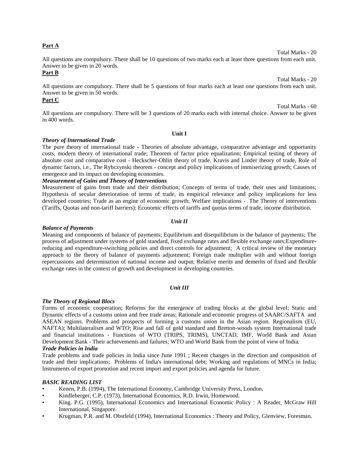#### **Part A**

All questions are compulsory. There shall be 10 questions of two marks each at least three questions from each unit. Answer to be given in 20 words.

#### **Part B**

All questions are compulsory. There shall be 5 questions of four marks each at least one questions from each unit. Answer to be given in 50 words.

## **Part C**

All questions are compulsory. There will be 3 questions of 20 marks each with internal choice. Answer to be given in 400 words.

#### **Unit I**

#### *Theory of International Trade*

The pure theory of international trade -Theories of absolute advantage, comparative advantage and opportunity costs, modern theory of international trade; Theorem of factor price equalization; Empirical testing of theory of absolute cost and comparative cost - Heckscher-Ohlin theory of trade. Kravis and Linder theory of trade, Role of dynamic factors, i.e., The Rybczynski theorem - concept and policy implications of immiserizing growth; Causes of emergence and its impact on developing economies.

#### *Measurement of Gains and Theory of Interventions*

Measurement of gains from trade and their distribution; Concepts of terms of trade, their uses and limitations; Hypothesis of secular deterioration of terms of trade, its empirical relevance and policy implications for less developed countries; Trade as an engine of economic growth; Welfare implications - The Theory of interventions (Tariffs, Quotas and non-tariff barriers); Economic effects of tariffs and quotas terms of trade, income distribution.

#### *Unit II*

#### *Balance of Payments*

Meaning and components of balance of payments; Equilibrium and disequilibrium in the balance of payments; The process of adjustment under systems of gold standard, fixed exchange rates and flexible exchange rates;Expenditurereducing and expenditure-switching policies and direct controls for adjustment; A critical review of the monetary approach to the theory of balance of payments adjustment; Foreign trade multiplier with and without foreign repercussions and determination of national income and output; Relative merits and demerits of fixed and flexible exchange rates in the context of growth and development in developing countries.

#### *Unit III*

#### *The Theory of Regional Blocs*

Forms of economic cooperation; Reforms for the emergence of trading blocks at the global level; Static and Dynamic effects of a customs union and free trade areas; Rationale and economic progress of SAARC/SAFTA and ASEAN regions. Problems and prospects of forming a customs union in the Asian region. Regionalism (EU, NAFTA); Multilateralism and WTO; Rise and fall of gold standard and Bretton-woods system International trade and financial institutions - Functions of WTO (TRIPS, TRIMS), UNCTAD, IMF, World Bank and Asian Development Bank - Their achievements and failures; WTO and World Bank from the point of view of India. *Trade Policies in India*

Trade problems and trade policies in India since June 1991 ; Recent changes in the direction and composition of trade and their implications; Problems of India's international debt; Working and regulations of MNCs in India; Instruments of export promotion and recent import and export policies and agenda for future.

#### *BASIC READING LIST*

- Kenen, P.B. (1994), The International Economy, Cambridge University Press, London.
- Kindleberger, C.P. (1973), International Economics, R.D. Irwin, Homewood.
- King. P.G. (1995), International Economics and International Economic Policy : A Reader, McGraw Hill International, Singapore.
- Krugman, P.R. and M. Obstfeld (1994), International Economics : Theory and Policy, Glenview, Foresman.

Total Marks - 20

Total Marks - 20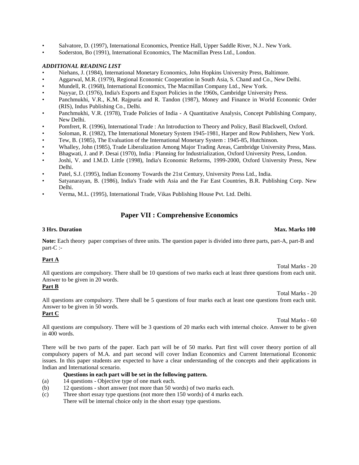- Salvatore, D. (1997), International Economics, Prentice Hall, Upper Saddle River, N.J.. New York.
- Soderston, Bo (1991), International Economics, The Macmillan Press Ltd., London.

#### *ADDITIONAL READING LIST*

- Niehans, J. (1984), International Monetary Economics, John Hopkins University Press, Baltimore.
- Aggarwal, M.R. (1979), Regional Economic Cooperation in South Asia, S. Chand and Co., New Delhi.
- Mundell, R. (1968), International Economics, The Macmillan Company Ltd., New York.
- Nayyar, D. (1976), India's Exports and Export Policies in the 1960s, Cambridge University Press.
- Panchmukhi, V.R., K.M. Rajpuria and R. Tandon (1987), Money and Finance in World Economic Order (RIS), Indus Publishing Co., Delhi.
- Panchmukhi, V.R. (1978), Trade Policies of India A Quantitative Analysis, Concept Publishing Company, New Delhi.
- Pomfrert, R. (1996), International Trade : An Introduction to Theory and Policy, Basil Blackwell, Oxford.
- Soloman, R. (1982), The International Monetary System 1945-1981, Harper and Row Publishers, New York.
- Tew, B. (1985), The Evaluation of the International Monetary System : 1945-85, Hutchinson.
- Whalley, John (1985), Trade Liberalization Among Major Trading Areas, Cambridge University Press, Mass.
- Bhagwati, J. and P. Desai (1970), India : Planning for Industrialization, Oxford University Press, London.
- Joshi, V. and I.M.D. Little (1998), India's Economic Reforms, 1999-2000, Oxford University Press, New Delhi.
- Patel, S.J. (1995), Indian Economy Towards the 21st Century, University Press Ltd., India.
- Satyanarayan, B. (1986), India's Trade with Asia and the Far East Countries, B.R. Publishing Corp. New Delhi.
- Verma, M.L. (1995), International Trade, Vikas Publishing House Pvt. Ltd. Delhi.

#### **Paper VII : Comprehensive Economics**

#### **3 Hrs. Duration Max. Marks 100**

**Note:** Each theory paper comprises of three units. The question paper is divided into three parts, part-A, part-B and part-C :-

#### **Part A**

Total Marks - 20 All questions are compulsory. There shall be 10 questions of two marks each at least three questions from each unit. Answer to be given in 20 words.

#### **Part B**

Total Marks - 20

All questions are compulsory. There shall be 5 questions of four marks each at least one questions from each unit. Answer to be given in 50 words.

### **Part C**

Total Marks - 60

All questions are compulsory. There will be 3 questions of 20 marks each with internal choice. Answer to be given in 400 words.

There will be two parts of the paper. Each part will be of 50 marks. Part first will cover theory portion of all compulsory papers of M.A. and part second will cover Indian Economics and Current International Economic issues. In this paper students are expected to have a clear understanding of the concepts and their applications in Indian and International scenario.

#### **Questions in each part will be set in the following pattern.**

- (a) 14 questions Objective type of one mark each.
- (b) 12 questions short answer (not more than 50 words) of two marks each.
- (c) Three short essay type questions (not more then 150 words) of 4 marks each. There will be internal choice only in the short essay type questions.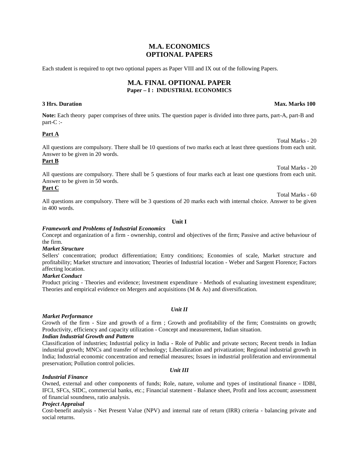### **M.A. ECONOMICS OPTIONAL PAPERS**

Each student is required to opt two optional papers as Paper VIII and IX out of the following Papers.

#### **M.A. FINAL OPTIONAL PAPER Paper – I :INDUSTRIAL ECONOMICS**

**Note:** Each theory paper comprises of three units. The question paper is divided into three parts, part-A, part-B and part-C :-

#### **Part A**

All questions are compulsory. There shall be 10 questions of two marks each at least three questions from each unit. Answer to be given in 20 words.

#### **Part B**

Total Marks - 20 All questions are compulsory. There shall be 5 questions of four marks each at least one questions from each unit. Answer to be given in 50 words.

#### **Part C**

All questions are compulsory. There will be 3 questions of 20 marks each with internal choice. Answer to be given in 400 words.

#### **Unit I**

#### *Framework and Problems of Industrial Economics*

Concept and organization of a firm - ownership, control and objectives of the firm; Passive and active behaviour of the firm.

#### *Market Structure*

Sellers' concentration; product differentiation; Entry conditions; Economies of scale, Market structure and profitability; Market structure and innovation; Theories of Industrial location - Weber and Sargent Florence; Factors affecting location.

#### *Market Conduct*

Product pricing - Theories and evidence; Investment expenditure - Methods of evaluating investment expenditure; Theories and empirical evidence on Mergers and acquisitions ( $M \& As$ ) and diversification.

#### *Market Performance*

Growth of the firm - Size and growth of a firm ; Growth and profitability of the firm; Constraints on growth; Productivity, efficiency and capacity utilization - Concept and measurement, Indian situation.

#### *Indian Industrial Growth and Pattern*

Classification of industries; Industrial policy in India - Role of Public and private sectors; Recent trends in Indian industrial growth; MNCs and transfer of technology; Liberalization and privatization; Regional industrial growth in India; Industrial economic concentration and remedial measures; Issues in industrial proliferation and environmental preservation; Pollution control policies.

#### *Unit III*

#### *Industrial Finance*

Owned, external and other components of funds; Role, nature, volume and types of institutional finance - IDBI, IFCI, SFCs, SIDC, commercial banks, etc.; Financial statement - Balance sheet, Profit and loss account; assessment of financial soundness, ratio analysis.

#### *Project Appraisal*

Cost-benefit analysis - Net Present Value (NPV) and internal rate of return (IRR) criteria - balancing private and social returns.

#### *Unit II*

#### **3 Hrs. Duration Max. Marks 100**

Total Marks - 20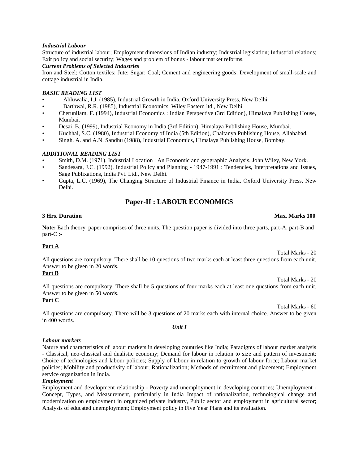#### *Industrial Labour*

Structure of industrial labour; Employment dimensions of Indian industry; Industrial legislation; Industrial relations; Exit policy and social security; Wages and problem of bonus - labour market reforms.

#### *Current Problems of Selected Industries*

Iron and Steel; Cotton textiles; Jute; Sugar; Coal; Cement and engineering goods; Development of small-scale and cottage industrial in India.

#### *BASIC READING LIST*

- Ahluwalia, I.J. (1985), Industrial Growth in India, Oxford University Press, New Delhi.
- Barthwal, R.R. (1985), Industrial Economics, Wiley Eastern ltd., New Delhi.
- Cherunilam, F. (1994), Industrial Economics : Indian Perspective (3rd Edition), Himalaya Publishing House, Mumbai.
- Desai, B. (1999), Industrial Economy in India (3rd Edition), Himalaya Publishing House, Mumbai.
- Kuchhal, S.C. (1980), Industrial Economy of India (5th Edition), Chaitanya Publishing House, Allahabad.
- Singh, A. and A.N. Sandhu (1988), Industrial Economics, Himalaya Publishing House, Bombay.

#### *ADDITIONAL READING LIST*

- Smith, D.M. (1971), Industrial Location : An Economic and geographic Analysis, John Wiley, New York.
- Sandesara, J.C. (1992), Industrial Policy and Planning 1947-1991 : Tendencies, Interpretations and Issues, Sage Publixations, India Pvt. Ltd., New Delhi.
- Gupta, L.C. (1969), The Changing Structure of Industrial Finance in India, Oxford University Press, New Delhi.

## **Paper-II : LABOUR ECONOMICS**

#### **3 Hrs. Duration Max. Marks 100**

**Note:** Each theory paper comprises of three units. The question paper is divided into three parts, part-A, part-B and part-C :-

#### **Part A**

All questions are compulsory. There shall be 10 questions of two marks each at least three questions from each unit. Answer to be given in 20 words.

#### **Part B**

All questions are compulsory. There shall be 5 questions of four marks each at least one questions from each unit. Answer to be given in 50 words.

## **Part C**

All questions are compulsory. There will be 3 questions of 20 marks each with internal choice. Answer to be given in 400 words.

#### *Labour markets*

Nature and characteristics of labour markets in developing countries like India; Paradigms of labour market analysis - Classical, neo-classical and dualistic economy; Demand for labour in relation to size and pattern of investment; Choice of technologies and labour policies; Supply of labour in relation to growth of labour force; Labour market policies; Mobility and productivity of labour; Rationalization; Methods of recruitment and placement; Employment service organization in India.

#### *Employment*

Employment and development relationship - Poverty and unemployment in developing countries; Unemployment - Concept, Types, and Measurement, particularly in India Impact of rationalization, technological change and modernization on employment in organized private industry, Public sector and employment in agricultural sector; Analysis of educated unemployment; Employment policy in Five Year Plans and its evaluation.

#### *Unit I*

Total Marks - 20

Total Marks - 20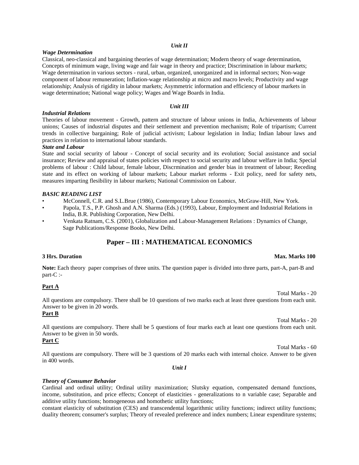#### *Unit II*

#### *Wage Determination*

Classical, neo-classical and bargaining theories of wage determination; Modern theory of wage determination, Concepts of minimum wage, living wage and fair wage in theory and practice; Discrimination in labour markets; Wage determination in various sectors - rural, urban, organized, unorganized and in informal sectors; Non-wage component of labour remuneration; Inflation-wage relationship at micro and macro levels; Productivity and wage relationship; Analysis of rigidity in labour markets; Asymmetric information and efficiency of labour markets in wage determination; National wage policy; Wages and Wage Boards in India.

#### *Unit III*

#### *Industrial Relations*

Theories of labour movement - Growth, pattern and structure of labour unions in India, Achievements of labour unions; Causes of industrial disputes and their settlement and prevention mechanism; Role of tripartism; Current trends in collective bargaining; Role of judicial activism; Labour legislation in India; Indian labour laws and practices in relation to international labour standards.

#### *State and Labour*

State and social security of labour - Concept of social security and its evolution; Social assistance and social insurance; Review and appraisal of states policies with respect to social security and labour welfare in India; Special problems of labour : Child labour, female labour, Discrmination and gender bias in treatment of labour; Receding state and its effect on working of labour markets; Labour market reforms - Exit policy, need for safety nets, measures imparting flesibility in labour markets; National Commission on Labour.

#### *BASIC READING LIST*

- McConnell, C.R. and S.L.Brue (1986), Contemporary Labour Economics, McGraw-Hill, New York.
- Papola, T.S., P.P. Ghosh and A.N. Sharma (Eds.) (1993), Labour, Employment and Industrial Relations in India, B.R. Publishing Corporation, New Delhi.
- Venkata Ratnam, C.S. (2001), Globalization and Labour-Management Relations : Dynamics of Change, Sage Publications/Response Books, New Delhi.

## **Paper – III : MATHEMATICAL ECONOMICS**

**Note:** Each theory paper comprises of three units. The question paper is divided into three parts, part-A, part-B and part-C :-

#### **Part A**

All questions are compulsory. There shall be 10 questions of two marks each at least three questions from each unit. Answer to be given in 20 words.

#### **Part B**

Total Marks - 20

All questions are compulsory. There shall be 5 questions of four marks each at least one questions from each unit. Answer to be given in 50 words.

## **Part C**

All questions are compulsory. There will be 3 questions of 20 marks each with internal choice. Answer to be given in 400 words.

*Unit I*

#### *Theory of Consumer Behavior*

Cardinal and ordinal utility; Ordinal utility maximization; Slutsky equation, compensated demand functions, income, substitution, and price effects; Concept of elasticities - generalizations to n variable case; Separable and additive utility functions; homogeneous and homothetic utility functions;

constant elasticity of substitution (CES) and transcendental logarithmic utility functions; indirect utility functions; duality theorem; consumer's surplus; Theory of revealed preference and index numbers; Linear expenditure systems;

#### **3 Hrs. Duration Max. Marks 100**

Total Marks - 20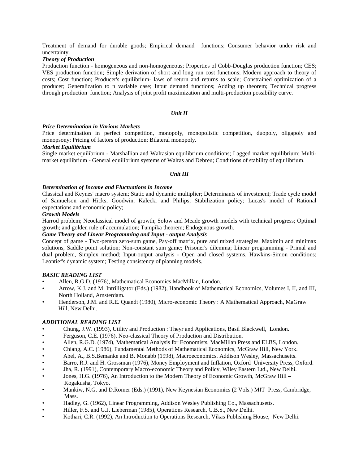Treatment of demand for durable goods; Empirical demand functions; Consumer behavior under risk and uncertainty.

#### *Theory of Production*

Production function - homogeneous and non-homogeneous; Properties of Cobb-Douglas production function; CES; VES production function; Simple derivation of short and long run cost functions; Modern approach to theory of costs; Cost function; Producer's equilibrium- laws of return and returns to scale; Constrained optimization of a producer; Generalization to n variable case; Input demand functions; Adding up theorem; Technical progress through production function; Analysis of joint profit maximization and multi-production possibility curve.

#### *Unit II*

#### *Price Determination in Various Markets*

Price determination in perfect competition, monopoly, monopolistic competition, duopoly, oligapoly and monopsony; Pricing of factors of production; Bilateral monopoly.

#### *Market Equilibrium*

Single market equilibrium - Marshallian and Walrasian equilibrium conditions; Lagged market equilibrium; Multi market equilibrium - General equilibrium systems of Walras and Debreu; Conditions of stability of equilibrium.

#### *Unit III*

#### *Determination of Income and Fluctuations in Income*

Classical and Keynes' macro system; Static and dynamic multiplier; Determinants of investment; Trade cycle model of Samuelson and Hicks, Goodwin, Kalecki and Philips; Stabilization policy; Lucas's model of Rational expectations and economic policy;

#### *Growth Models*

Harrod problem; Neoclassical model of growth; Solow and Meade growth models with technical progress; Optimal growth; and golden rule of accumulation; Tumpika theorem; Endogenous growth.

#### *Game Theory and Linear Programming and Input - output Analysis*

Concept of game - Two-person zero-sum game, Pay-off matrix, pure and mixed strategies, Maximin and minimax solutions, Saddle point solution; Non-constant sum game; Prisoner's dilemma; Linear programming - Primal and dual problem, Simplex method; Input-output analysis - Open and closed systems, Hawkins-Simon conditions; Leontief's dynamic system; Testing consistency of planning models.

#### *BASIC READING LIST*

- Allen, R.G.D. (1976), Mathematical Economics MacMillan, London.
- Arrow, K.J. and M. Intrilligator (Eds.) (1982), Handbook of Mathematical Economics, Volumes I, II, and III, North Holland, Amsterdam.
- Henderson, J.M. and R.E. Quandt (1980), Micro-economic Theory : A Mathematical Approach, MaGraw Hill, New Delhi.

#### *ADDITIONAL READING LIST*

- Chung, J.W. (1993), Utility and Production : Theyr and Applications, Basil Blackwell, London.
- Ferguson, C.E. (1976), Neo-classical Theory of Production and Distribution.
- Allen, R.G.D. (1974), Mathematical Analysis for Economists, MacMillan Press and ELBS, London.
- Chiang, A.C. (1986), Fundamental Methods of Mathematical Economics, McGraw Hill, New York.
- Abel, A., B.S.Bemanke and B. Monabb (1998), Macroeconomics. Addison Wesley, Massachusetts.
- Barro, R.J. and H. Grossman (1976), Money Employment and Inflation, Oxford University Press, Oxford.
- Jha, R. (1991), Contemporary Macro-economic Theory and Policy, Wiley Eastern Ltd., New Delhi.
- Jones, H.G. (1976), An Introduction to the Modern Theory of Economic Growth, McGraw Hill Kogakusha, Tokyo.
- Mankiw, N.G. and D.Romer (Eds.) (1991), New Keynesian Economics (2 Vols.) MIT Press, Cambridge, Mass.
- Hadley, G. (1962), Linear Programming, Addison Wesley Publishing Co., Massachusetts.
- Hiller, F.S. and G.J. Lieberman (1985), Operations Research, C.B.S., New Delhi.
- Kothari, C.R. (1992), An Introduction to Operations Research, Vikas Publishing House, New Delhi.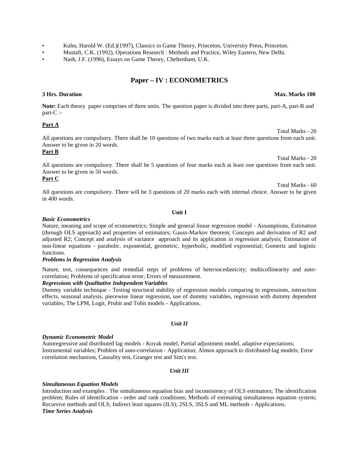- Kuhn, Harold W. (Ed.)(1997), Classics in Game Theory, Princeton, University Press, Princeton.
- Mustafi, C.K. (1992), Operations Research : Methods and Practice, Wiley Eastern, New Delhi.
- Nash, J.F. (1996), Essays on Game Theory, Cheltenham, U.K.

## **Paper – IV : ECONOMETRICS**

**Note:** Each theory paper comprises of three units. The question paper is divided into three parts, part-A, part-B and part-C :-

#### **Part A**

All questions are compulsory. There shall be 10 questions of two marks each at least three questions from each unit. Answer to be given in 20 words.

#### **Part B**

Total Marks - 20 All questions are compulsory. There shall be 5 questions of four marks each at least one questions from each unit. Answer to be given in 50 words.

#### **Part C**

All questions are compulsory. There will be 3 questions of 20 marks each with internal choice. Answer to be given in 400 words.

#### **Unit I**

#### *Basic Econometrics*

Nature, meaning and scope of econometrics; Simple and general linear regression model - Assumptions, Estimation (through OLS approach) and properties of estimators; Gauss-Markov theorem; Concepts and derivation of R2 and adjusted R2; Concept and analysis of variance approach and its application in regression analysis; Estimation of non-linear equations - parabolic, exponential, geometric, hyperbolic, modified exponential; Gomertz and logistic functions.

#### *Problems in Regression Analysis*

Nature, test, consequences and remedial steps of problems of hetersocedasticity; multicollinearity and auto correlation; Problems of specification error; Errors of measurement.

#### *Regressions with Qualitative Independent Variables*

Dummy variable technique - Testing structural stability of regression models comparing to regressions, interaction effects, seasonal analysis, piecewise linear regression, use of dummy variables, regression with dummy dependent variables; The LPM, Logit, Probit and Tobit models - Applications.

#### *Unit II*

#### *Dynamic Econometric Model*

Autoregressive and distributed lag models - Koyak model, Partial adjustment model, adaptive expectations; Instrumental variables; Problem of auto-correlation - Application; Almon approach to distributed-lag models; Error correlation mechanism, Causality test, Granger test and Sim's test.

#### *Unit III*

#### *Simultaneous Equation Models*

Introduction and examples : The simultaneous equation bias and inconsistency of OLS estimators; The identification problem; Rules of identification - order and rank conditions; Methods of estimating simultaneous equation system; Recursive methods and OLS; Indirect least squares (ILS); 2SLS, 3SLS and ML methods - Applications. *Time Series Analysis*

#### **3 Hrs. Duration Max. Marks 100**

Total Marks - 20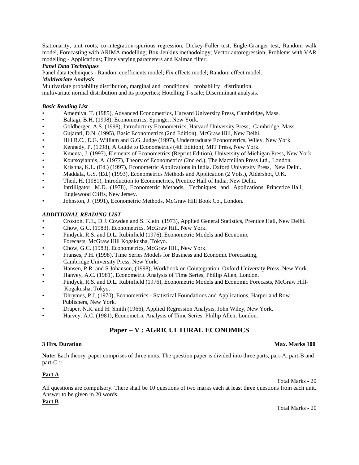Stationarity, unit roots, co-integration-spurious regression, Dickey-Fuller test, Engle-Granger test, Random walk model, Forecasting with ARIMA modelling; Box-Jenkins methodology; Vector autoregression; Problems with VAR modelling - Applications; Time varying parameters and Kalman filter.

#### *Panel Data Techniques*

Panel data techniques - Random coefficients model; Fix effects model; Random effect model.

#### *Multivariate Analysis*

Multivariate probability distribution, marginal and conditional probability distribution,

multivariate normal distribution and its properties; Hotelling T-scale; Discriminant analysis.

#### *Basic Reading List*

- Amemiya, T. (1985), Advanced Econometrics, Harvard University Press, Cambridge, Mass.
- Baltagi, B.H. (1998), Econometrics, Springer, New York.
- Goldberger, A.S. (1998), Introductory Econometrics, Harvard University Press, Cambridge, Mass.
- Gujarati, D.N. (1995), Basic Econometrics (2nd Edition), McGraw Hill, New Delhi.
- Hill R.C., E.G. William and G.G. Judge (1997), Undergraduate Econometrics, Wiley, New York.
- Kennedy, P. (1998), A Guide to Econometrics (4th Edition), MIT Press, New York.
- Kmenta, J. (1997), Elements of Econometrics (Reprint Edition), University of Michigan Press, New York.
- Koutsoyiannis, A. (1977), Theory of Econometrics (2nd ed.), The Macmillan Press Ltd., London.
- Krishna, K.L. (Ed.) (1997), Econometric Applications in India. Oxford University Press, New Delhi.
- Maddala, G.S. (Ed.) (1993), Econometrics Methods and Application (2 Vols.), Aldershot, U.K.
- Theil, H. (1981), Introduction to Econometrics, Prentice Hall of India, New Delhi.
- Intrilligator, M.D. (1978), Econometric Methods, Techniques and Applications, Princetice Hall, Englewood Cliffs, New Jersey.
- Johnston, J. (1991), Econometric Methods, McGraw Hill Book Co., London.

#### *ADDITIONAL READING LIST*

- Croxton, F.E., D.J. Cowden and S. Klein (1973), Applied General Statistics, Prentice Hall, New Delhi.
- Chow, G.C. (1983), Econometrics, McGraw Hill, New York.
- Pindyck, R.S. and D.L. Rubinfield (1976), Econometric Models and Economic Forecasts, McGraw Hill Kogakusha, Tokyo.
- Chow, G.C. (1983), Econometrics, McGraw Hill, New York.
- Franses, P.H. (1998), Time Series Models for Business and Economic Forecasting, Cambridge University Press, New York.
- Hansen, P.R. and S.Johanson, (1998), Workbook on Cointegration, Oxford University Press, New York.
- Hanvey, A.C. (1981), Econometric Analysis of Time Series, Phillip Allen, London.
- Pindyck, R.S. and D.L. Rubinfield (1976), Econometric Models and Economic Forecasts, McGraw Hill- Kogakusha, Tokyo.
- Dhrymes, P.J. (1970), Econometrics Statistical Foundations and Applications, Harper and Row Publishers, New York.
- Draper, N.R. and H. Smith (1966), Applied Regression Analysis, John Wiley, New York.
- Harvey, A.C. (1981), Econometric Analysis of Time Series, Phillip Allen, London.

## **Paper – V : AGRICULTURAL ECONOMICS**

#### **3 Hrs. Duration Max. Marks 100**

**Note:** Each theory paper comprises of three units. The question paper is divided into three parts, part-A, part-B and part-C :-

#### **Part A**

Total Marks - 20

All questions are compulsory. There shall be 10 questions of two marks each at least three questions from each unit. Answer to be given in 20 words.

#### **Part B**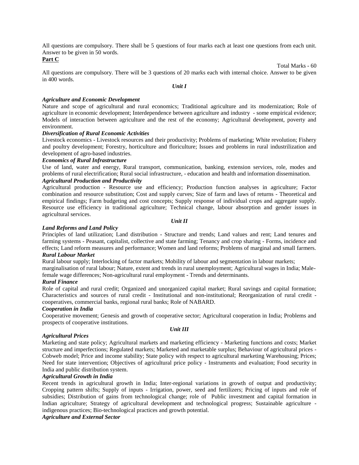All questions are compulsory. There shall be 5 questions of four marks each at least one questions from each unit. Answer to be given in 50 words.

#### **Part C**

All questions are compulsory. There will be 3 questions of 20 marks each with internal choice. Answer to be given in 400 words.

Total Marks - 60

*Unit I*

#### *Agriculture and Economic Development*

Nature and scope of agricultural and rural economics; Traditional agriculture and its modernization; Role of agriculture in economic development; Interdependence between agriculture and industry - some empirical evidence; Models of interaction between agriculture and the rest of the economy; Agricultural development, poverty and environment.

#### *Diversification of Rural Economic Activities*

Livestock economics - Livestock resources and their productivity; Problems of marketing; White revolution; Fishery and poultry development; Forestry, horticulture and floriculture; Issues and problems in rural industrilization and development of agro-based industries.

#### *Economics of Rural Infrastructure*

Use of land, water and energy, Rural transport, communication, banking, extension services, role, modes and problems of rural electrification; Rural social infrastructure, - education and health and information dissemination.

## *Agricultural Production and Productivity*

Agricultural production - Resource use and efficiency; Production function analyses in agriculture; Factor combination and resource substitution; Cost and supply curves; Size of farm and laws of returns - Theoretical and empirical findings; Farm budgeting and cost concepts; Supply response of individual crops and aggregate supply. Resource use efficiency in traditional agriculture; Technical change, labour absorption and gender issues in agricultural services.

#### *Unit II*

#### *Land Reforms and Land Policy*

Principles of land utilization; Land distribution - Structure and trends; Land values and rent; Land tenures and farming systems - Peasant, capitalist, collective and state farming; Tenancy and crop sharing - Forms, incidence and effects; Land reform measures and performance; Women and land reforms; Problems of marginal and small farmers. *Rural Labour Market*

Rural labour supply; Interlocking of factor markets; Mobility of labour and segmentation in labour markets;

marginalisation of rural labour; Nature, extent and trends in rural unemployment; Agricultural wages in India; Malefemale wage differences; Non-agricultural rural employment - Trends and determinants.

#### *Rural Finance*

Role of capital and rural credit; Organized and unorganized capital market; Rural savings and capital formation; Characteristics and sources of rural credit - Institutional and non-institutional; Reorganization of rural credit cooperatives, commercial banks, regional rural banks; Role of NABARD.

#### *Cooperation in India*

Cooperative movement; Genesis and growth of cooperative sector; Agricultural cooperation in India; Problems and prospects of cooperative institutions.

#### *Agricultural Prices*

Marketing and state policy; Agricultural markets and marketing efficiency - Marketing functions and costs; Market structure and imperfections; Regulated markets; Marketed and marketable surplus; Behaviour of agricultural prices - Cobweb model; Price and income stability; State policy with respect to agricultural marketing Warehousing; Prices; Need for state intervention; Objectives of agricultural price policy - Instruments and evaluation; Food security in India and public distribution system.

#### *Agricultural Growth in India*

Recent trends in agricultural growth in India; Inter-regional variations in growth of output and productivity; Cropping pattern shifts; Supply of inputs - Irrigation, power, seed and fertilizers; Pricing of inputs and role of subsidies; Distribution of gains from technological change; role of Public investment and capital formation in Indian agriculture; Strategy of agricultural development and technological progress; Sustainable agriculture indigenous practices; Bio-technological practices and growth potential.

*Agriculture and External Sector*

#### *Unit III*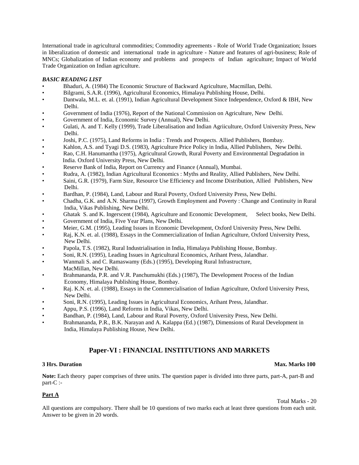International trade in agricultural commodities; Commodity agreements - Role of World Trade Organization; Issues in liberalization of domestic and international trade in agriculture - Nature and features of agri-business; Role of MNCs; Globalization of Indian economy and problems and prospects of Indian agriculture; Impact of World Trade Organization on Indian agriculture.

#### *BASIC READING LIST*

- Bhaduri, A. (1984) The Economic Structure of Backward Agriculture, Macmillan, Delhi.
- Bilgrami, S.A.R. (1996), Agricultural Economics, Himalaya Publishing House, Delhi.
- Dantwala, M.L. et. al. (1991), Indian Agricultural Development Since Independence, Oxford & IBH, New Delhi.
- Government of India (1976), Report of the National Commission on Agriculture, New Delhi.
- Government of India, Economic Survey (Annual), New Delhi.
- Gulati, A. and T. Kelly (1999), Trade Liberalisation and Indian Agriiculture, Oxford University Press, New Delhi.
- Joshi, P.C. (1975), Land Reforms in India : Trends and Prospects. Allied Publishers, Bombay.
- Kahlon, A.S. and Tyagi D.S. (1983), Agriculture Price Policy in India, Allied Publishers, New Delhi.
- Rao, C.H. Hanumantha (1975), Agricultural Growth, Rural Poverty and Environmental Degradation in India. Oxford University Press, New Delhi.
- Reserve Bank of India, Report on Currency and Finance (Annual), Mumbai.
- Rudra, A. (1982), Indian Agricultural Economics : Myths and Reality, Allied Publishers, New Delhi.
- Saini, G.R. (1979), Farm Size, Resource Use Efficiency and Income Distribution, Allied Publishers, New Delhi.
- Bardhan, P. (1984), Land, Labour and Rural Poverty, Oxford University Press, New Delhi.
- Chadha, G.K. and A.N. Sharma (1997), Growth Employment and Poverty : Change and Continuity in Rural India, Vikas Publishing, New Delhi.
- Ghatak S. and K. Ingerscent (1984), Agriculture and Economic Development, Select books, New Delhi.
- Government of India, Five Year Plans, New Delhi.
- Meier, G.M. (1995), Leading Issues in Economic Development, Oxford University Press, New Delhi.
- Raj, K.N. et. al. (1988), Essays in the Commercialization of Indian Agriculture, Oxford University Press, New Delhi.
- Papola, T.S. (1982), Rural Industrialisation in India, Himalaya Publishing House, Bombay.
- Soni, R.N. (1995), Leading Issues in Agricultural Economics, Arihant Press, Jalandhar.
- Wanmali S. and C. Ramaswamy (Eds.) (1995), Developing Rural Infrastructure,
- MacMillan, New Delhi.
- Brahmananda, P.R. and V.R. Panchumukhi (Eds.) (1987), The Development Process of the Indian Economy, Himalaya Publishing House, Bombay.
- Raj. K.N. et. al. (1988), Essays in the Commercialisation of Indian Agriculture, Oxford University Press, New Delhi.
- Soni, R.N. (1995), Leading Issues in Agricultural Economics, Arihant Press, Jalandhar.
- Appu, P.S. (1996), Land Reforms in India, Vikas, New Delhi.
- Bandhan, P. (1984), Land, Labour and Rural Poverty, Oxford University Press, New Delhi.
- Brahmananda, P.R., B.K. Narayan and A. Kalappa (Ed.) (1987), Dimensions of Rural Development in India, Himalaya Publishing House, New Delhi.

## **Paper-VI : FINANCIAL INSTITUTIONS AND MARKETS**

#### **3 Hrs. Duration Max. Marks 100**

**Note:** Each theory paper comprises of three units. The question paper is divided into three parts, part-A, part-B and part-C :-

#### **Part A**

Total Marks - 20

All questions are compulsory. There shall be 10 questions of two marks each at least three questions from each unit. Answer to be given in 20 words.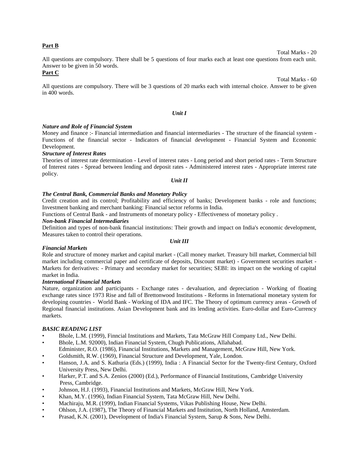#### **Part B**

All questions are compulsory. There shall be 5 questions of four marks each at least one questions from each unit. Answer to be given in 50 words.

#### **Part C**

All questions are compulsory. There will be 3 questions of 20 marks each with internal choice. Answer to be given in 400 words.

#### *Unit I*

#### *Nature and Role of Financial System*

Money and finance :- Financial intermediation and financial intermediaries - The structure of the financial system - Functions of the financial sector - Indicators of financial development - Financial System and Economic Development.

#### *Structure of Interest Rates*

Theories of interest rate determination - Level of interest rates - Long period and short period rates - Term Structure of Interest rates - Spread between lending and deposit rates - Administered interest rates - Appropriate interest rate policy.

#### *Unit II*

#### *The Central Bank, Commercial Banks and Monetary Policy*

Credit creation and its control; Profitability and efficiency of banks; Development banks - role and functions; Investment banking and merchant banking: Financial sector reforms in India.

Functions of Central Bank - and Instruments of monetary policy - Effectiveness of monetary policy .

#### *Non-bank Financial Intermediaries*

Definition and types of non-bank financial institutions: Their growth and impact on India's economic development, Measures taken to control their operations.

#### *Financial Markets*

Role and structure of money market and capital market - (Call money market. Treasury bill market, Commercial bill market including commercial paper and certificate of deposits, Discount market) - Government securities market - Markets for derivatives: - Primary and secondary market for securities; SEBI: its impact on the working of capital market in India.

#### *International Financial Markets*

Nature, organization and participants - Exchange rates - devaluation, and depreciation - Working of floating exchange rates since 1973 Rise and fall of Brettonwood Institutions - Reforms in International monetary system for developing countries - World Bank - Working of IDA and IFC. The Theory of optimum currency areas - Growth of Regional financial institutions. Asian Development bank and its lending activities. Euro-dollar and Euro-Currency markets.

#### *BASIC READING LIST*

- Bhole, L.M. (1999), Finncial Institutions and Markets, Tata McGraw Hill Company Ltd., New Delhi.
- Bhole, L.M. 92000), Indian Financial System, Chugh Publications, Allahabad.
- Edminister, R.O. (1986), Financial Institutions, Markets and Management, McGraw Hill, New York.
- Goldsmith, R.W. (1969), Financial Structure and Development, Yale, London.
- Hanson, J.A. and S. Kathuria (Eds.) (1999), India : A Financial Sector for the Twenty-first Century, Oxford University Press, New Delhi.
- Harker, P.T. and S.A. Zenios (2000) (Ed.), Performance of Financial Institutions, Cambridge University Press, Cambridge.
- Johnson, H.J. (1993), Financial Institutions and Markets, McGraw Hill, New York.
- Khan, M.Y. (1996), Indian Financial System, Tata McGraw Hill, New Delhi.
- Machiraju, M.R. (1999), Indian Financial Systems, Vikas Publishing House, New Delhi.
- Ohlson, J.A. (1987), The Theory of Financial Markets and Institution, North Holland, Amsterdam.
- Prasad, K.N. (2001), Development of India's Financial System, Sarup & Sons, New Delhi.

Total Marks - 20

Total Marks - 60

*Unit III*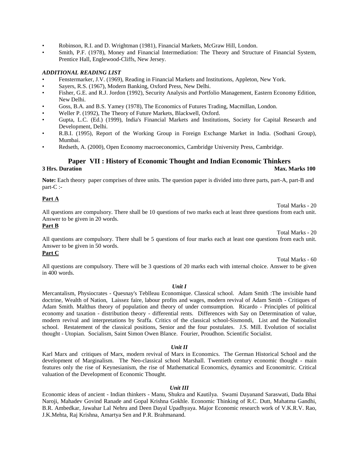- Robinson, R.I. and D. Wrightman (1981), Financial Markets, McGraw Hill, London.
- Smith, P.F. (1978), Money and Financial Intermediation: The Theory and Structure of Financial System, Prentice Hall, Englewood-Cliffs, New Jersey.

#### *ADDITIONAL READING LIST*

- Fenstermarker, J.V. (1969), Reading in Financial Markets and Institutions, Appleton, New York.
- Sayers, R.S. (1967), Modern Banking, Oxford Press, New Delhi.
- Fisher, G.E. and R.J. Jordon (1992), Security Analysis and Portfolio Management, Eastern Economy Edition, New Delhi.
- Goss, B.A. and B.S. Yamey (1978), The Economics of Futures Trading, Macmillan, London.
- Weller P. (1992), The Theory of Future Markets, Blackwell, Oxford.
- Gupta, L.C. (Ed.) (1999), India's Financial Markets and Institutions, Society for Capital Research and Development, Delhi.
- R.B.I. (1995), Report of the Working Group in Foreign Exchange Market in India. (Sodhani Group), Mumbai.
- Redseth, A. (2000), Open Economy macroeconomics, Cambridge University Press, Cambridge.

# **Paper VII : History of Economic Thought and Indian Economic Thinkers**<br>3 Hrs. Duration Max. N

**Note:** Each theory paper comprises of three units. The question paper is divided into three parts, part-A, part-B and part-C :-

#### **Part A**

Total Marks - 20

Total Marks - 60

**Max. Marks 100** 

All questions are compulsory. There shall be 10 questions of two marks each at least three questions from each unit. Answer to be given in 20 words.

### **Part B**

Total Marks - 20 All questions are compulsory. There shall be 5 questions of four marks each at least one questions from each unit. Answer to be given in 50 words.

#### **Part C**

All questions are compulsory. There will be 3 questions of 20 marks each with internal choice. Answer to be given in 400 words.

#### *Unit I*

Mercantalism, Physiocrates - Quesnay's Teblleau Economique. Classical school. Adam Smith :The invisible hand doctrine, Wealth of Nation, Laissez faire, labour profits and wages, modern revival of Adam Smith - Critiques of Adam Smith. Malthus theory of population and theory of under comsumption. Ricardo - Principles of political economy and taxation - distribution theory - differential rents. Differences with Say on Determination of value, modern revival and interpretations by Sraffa. Critics of the classical school-Sismondi, List and the Nationalist school. Restatement of the classical positions, Senior and the four postulates. J.S. Mill. Evolution of socialist thought - Utopian. Socialism, Saint Simon Owen Blance. Fourier, Proudhon. Scientific Socialist.

#### *Unit II*

Karl Marx and critiques of Marx, modern revival of Marx in Economics. The German Historical School and the development of Marginalism. The Neo-classical school Marshall. Twentieth century economic thought - main features only the rise of Keynesianism, the rise of Mathematical Economics, dynamics and Economitric. Critical valuation of the Development of Economic Thought.

#### *Unit III*

Economic ideas of ancient - Indian thinkers - Manu, Shukra and Kautilya. Swami Dayanand Saraswati, Dada Bhai Naroji, Mahadev Govind Ranade and Gopal Krishna Gokhle. Economic Thinking of R.C. Dutt, Mahatma Gandhi, B.R. Ambedkar, Jawahar Lal Nehru and Deen Dayal Upadhyaya. Major Economic research work of V.K.R.V. Rao, J.K.Mehta, Raj Krishna, Amartya Sen and P.R. Brahmanand.